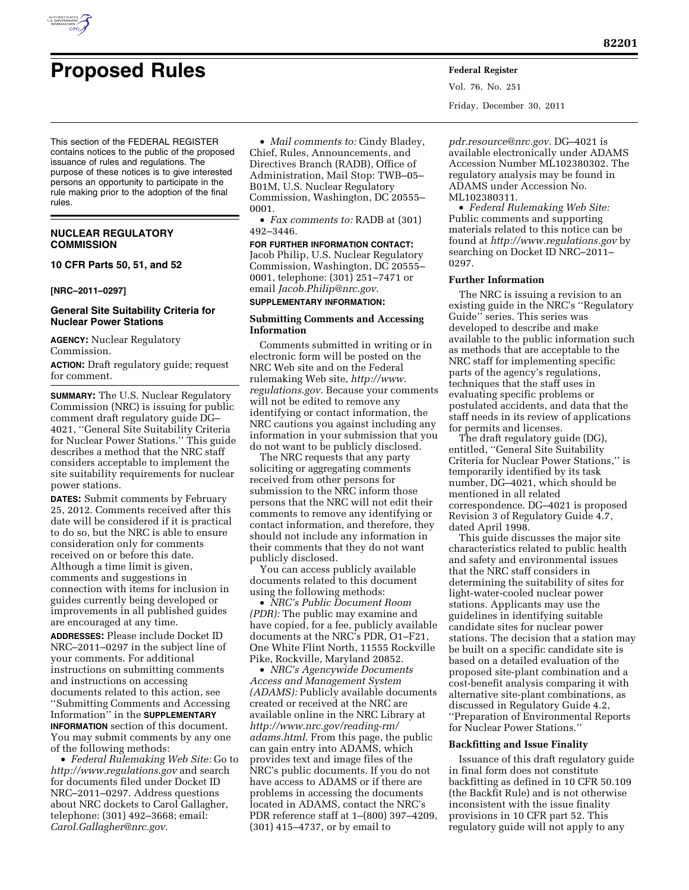

Vol. 76, No. 251 Friday, December 30, 2011

This section of the FEDERAL REGISTER contains notices to the public of the proposed issuance of rules and regulations. The purpose of these notices is to give interested persons an opportunity to participate in the rule making prior to the adoption of the final rules.

## **NUCLEAR REGULATORY COMMISSION**

**10 CFR Parts 50, 51, and 52** 

## **[NRC–2011–0297]**

## **General Site Suitability Criteria for Nuclear Power Stations**

**AGENCY:** Nuclear Regulatory Commission.

**ACTION:** Draft regulatory guide; request for comment.

**SUMMARY:** The U.S. Nuclear Regulatory Commission (NRC) is issuing for public comment draft regulatory guide DG– 4021, ''General Site Suitability Criteria for Nuclear Power Stations.'' This guide describes a method that the NRC staff considers acceptable to implement the site suitability requirements for nuclear power stations.

**DATES:** Submit comments by February 25, 2012. Comments received after this date will be considered if it is practical to do so, but the NRC is able to ensure consideration only for comments received on or before this date. Although a time limit is given, comments and suggestions in connection with items for inclusion in guides currently being developed or improvements in all published guides are encouraged at any time.

**ADDRESSES:** Please include Docket ID NRC–2011–0297 in the subject line of your comments. For additional instructions on submitting comments and instructions on accessing documents related to this action, see ''Submitting Comments and Accessing Information'' in the **SUPPLEMENTARY INFORMATION** section of this document. You may submit comments by any one of the following methods:

• *Federal Rulemaking Web Site:* Go to *<http://www.regulations.gov>* and search for documents filed under Docket ID NRC–2011–0297. Address questions about NRC dockets to Carol Gallagher, telephone: (301) 492–3668; email: *[Carol.Gallagher@nrc.gov](mailto:Carol.Gallagher@nrc.gov)*.

• *Mail comments to:* Cindy Bladey, Chief, Rules, Announcements, and Directives Branch (RADB), Office of Administration, Mail Stop: TWB–05– B01M, U.S. Nuclear Regulatory Commission, Washington, DC 20555– 0001.

• *Fax comments to:* RADB at (301) 492–3446.

## **FOR FURTHER INFORMATION CONTACT:**  Jacob Philip, U.S. Nuclear Regulatory

Commission, Washington, DC 20555– 0001, telephone: (301) 251–7471 or email *[Jacob.Philip@nrc.gov](mailto:Jacob.Philip@nrc.gov)*. **SUPPLEMENTARY INFORMATION:** 

### **Submitting Comments and Accessing Information**

Comments submitted in writing or in electronic form will be posted on the NRC Web site and on the Federal rulemaking Web site, *[http://www.](http://www.regulations.gov) [regulations.gov](http://www.regulations.gov)*. Because your comments will not be edited to remove any identifying or contact information, the NRC cautions you against including any information in your submission that you do not want to be publicly disclosed.

The NRC requests that any party soliciting or aggregating comments received from other persons for submission to the NRC inform those persons that the NRC will not edit their comments to remove any identifying or contact information, and therefore, they should not include any information in their comments that they do not want publicly disclosed.

You can access publicly available documents related to this document using the following methods:

• *NRC's Public Document Room (PDR):* The public may examine and have copied, for a fee, publicly available documents at the NRC's PDR, O1–F21, One White Flint North, 11555 Rockville Pike, Rockville, Maryland 20852.

• *NRC's Agencywide Documents Access and Management System (ADAMS):* Publicly available documents created or received at the NRC are available online in the NRC Library at *[http://www.nrc.gov/reading-rm/](http://www.nrc.gov/reading-rm/adams.html) [adams.html](http://www.nrc.gov/reading-rm/adams.html)*. From this page, the public can gain entry into ADAMS, which provides text and image files of the NRC's public documents. If you do not have access to ADAMS or if there are problems in accessing the documents located in ADAMS, contact the NRC's PDR reference staff at 1–(800) 397–4209, (301) 415–4737, or by email to

*[pdr.resource@nrc.gov](mailto:pdr.resource@nrc.gov)*. DG–4021 is available electronically under ADAMS Accession Number ML102380302. The regulatory analysis may be found in ADAMS under Accession No. ML102380311.

• *Federal Rulemaking Web Site:*  Public comments and supporting materials related to this notice can be found at *<http://www.regulations.gov>* by searching on Docket ID NRC–2011– 0297.

## **Further Information**

The NRC is issuing a revision to an existing guide in the NRC's ''Regulatory Guide'' series. This series was developed to describe and make available to the public information such as methods that are acceptable to the NRC staff for implementing specific parts of the agency's regulations, techniques that the staff uses in evaluating specific problems or postulated accidents, and data that the staff needs in its review of applications for permits and licenses.

The draft regulatory guide (DG), entitled, ''General Site Suitability Criteria for Nuclear Power Stations,'' is temporarily identified by its task number, DG–4021, which should be mentioned in all related correspondence. DG–4021 is proposed Revision 3 of Regulatory Guide 4.7, dated April 1998.

This guide discusses the major site characteristics related to public health and safety and environmental issues that the NRC staff considers in determining the suitability of sites for light-water-cooled nuclear power stations. Applicants may use the guidelines in identifying suitable candidate sites for nuclear power stations. The decision that a station may be built on a specific candidate site is based on a detailed evaluation of the proposed site-plant combination and a cost-benefit analysis comparing it with alternative site-plant combinations, as discussed in Regulatory Guide 4.2, ''Preparation of Environmental Reports for Nuclear Power Stations.''

## **Backfitting and Issue Finality**

Issuance of this draft regulatory guide in final form does not constitute backfitting as defined in 10 CFR 50.109 (the Backfit Rule) and is not otherwise inconsistent with the issue finality provisions in 10 CFR part 52. This regulatory guide will not apply to any